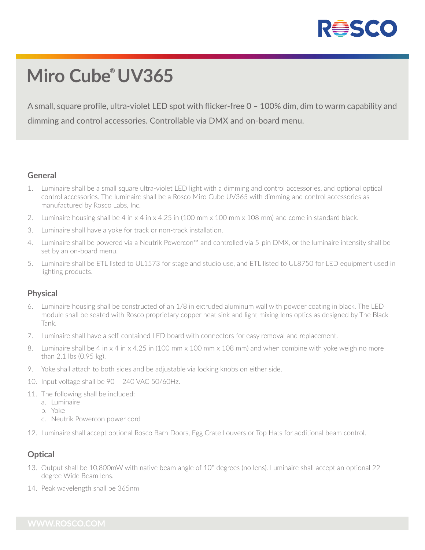

# **Miro Cube ® UV365**

A small, square profile, ultra-violet LED spot with flicker-free 0 – 100% dim, dim to warm capability and dimming and control accessories. Controllable via DMX and on-board menu.

#### **General**

- 1. Luminaire shall be a small square ultra-violet LED light with a dimming and control accessories, and optional optical control accessories. The luminaire shall be a Rosco Miro Cube UV365 with dimming and control accessories as manufactured by Rosco Labs, Inc.
- 2. Luminaire housing shall be 4 in x 4 in x 4.25 in (100 mm x 100 mm x 108 mm) and come in standard black.
- 3. Luminaire shall have a yoke for track or non-track installation.
- 4. Luminaire shall be powered via a Neutrik Powercon™ and controlled via 5-pin DMX, or the luminaire intensity shall be set by an on-board menu.
- 5. Luminaire shall be ETL listed to UL1573 for stage and studio use, and ETL listed to UL8750 for LED equipment used in lighting products.

#### **Physical**

- 6. Luminaire housing shall be constructed of an 1/8 in extruded aluminum wall with powder coating in black. The LED module shall be seated with Rosco proprietary copper heat sink and light mixing lens optics as designed by The Black Tank.
- 7. Luminaire shall have a self-contained LED board with connectors for easy removal and replacement.
- 8. Luminaire shall be 4 in x 4 in x 4.25 in (100 mm x 100 mm x 108 mm) and when combine with yoke weigh no more than 2.1 lbs (0.95 kg).
- 9. Yoke shall attach to both sides and be adjustable via locking knobs on either side.
- 10. Input voltage shall be 90 240 VAC 50/60Hz.
- 11. The following shall be included:
	- a. Luminaire
	- b. Yoke
	- c. Neutrik Powercon power cord
- 12. Luminaire shall accept optional Rosco Barn Doors, Egg Crate Louvers or Top Hats for additional beam control.

#### **Optical**

- 13. Output shall be 10,800mW with native beam angle of 10° degrees (no lens). Luminaire shall accept an optional 22 degree Wide Beam lens.
- 14. Peak wavelength shall be 365nm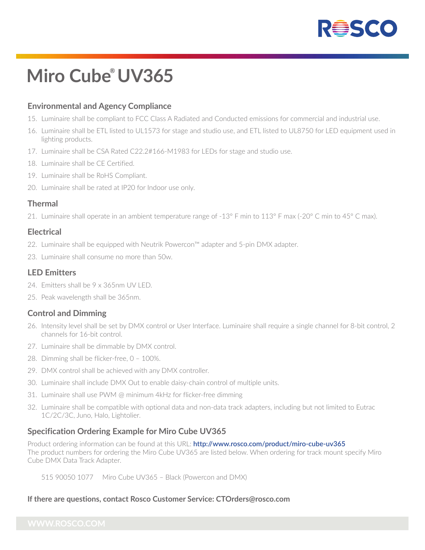

# **Miro Cube ® UV365**

### **Environmental and Agency Compliance**

- 15. Luminaire shall be compliant to FCC Class A Radiated and Conducted emissions for commercial and industrial use.
- 16. Luminaire shall be ETL listed to UL1573 for stage and studio use, and ETL listed to UL8750 for LED equipment used in lighting products.
- 17. Luminaire shall be CSA Rated C22.2#166-M1983 for LEDs for stage and studio use.
- 18. Luminaire shall be CE Certified.
- 19. Luminaire shall be RoHS Compliant.
- 20. Luminaire shall be rated at IP20 for Indoor use only.

#### **Thermal**

21. Luminaire shall operate in an ambient temperature range of -13° F min to 113° F max (-20° C min to 45° C max).

#### **Electrical**

- 22. Luminaire shall be equipped with Neutrik Powercon™ adapter and 5-pin DMX adapter.
- 23. Luminaire shall consume no more than 50w.

#### **LED Emitters**

- 24. Emitters shall be 9 x 365nm UV LED.
- 25. Peak wavelength shall be 365nm.

#### **Control and Dimming**

- 26. Intensity level shall be set by DMX control or User Interface. Luminaire shall require a single channel for 8-bit control, 2 channels for 16-bit control.
- 27. Luminaire shall be dimmable by DMX control.
- 28. Dimming shall be flicker-free, 0 100%.
- 29. DMX control shall be achieved with any DMX controller.
- 30. Luminaire shall include DMX Out to enable daisy-chain control of multiple units.
- 31. Luminaire shall use PWM @ minimum 4kHz for flicker-free dimming
- 32. Luminaire shall be compatible with optional data and non-data track adapters, including but not limited to Eutrac 1C/2C/3C, Juno, Halo, Lightolier.

#### **Specification Ordering Example for Miro Cube UV365**

Product ordering information can be found at this URL: **http://www.rosco.com/product/miro-cube-uv365** The product numbers for ordering the Miro Cube UV365 are listed below. When ordering for track mount specify Miro Cube DMX Data Track Adapter.

515 90050 1077 Miro Cube UV365 – Black (Powercon and DMX)

#### **If there are questions, contact Rosco Customer Service: CTOrders@rosco.com**